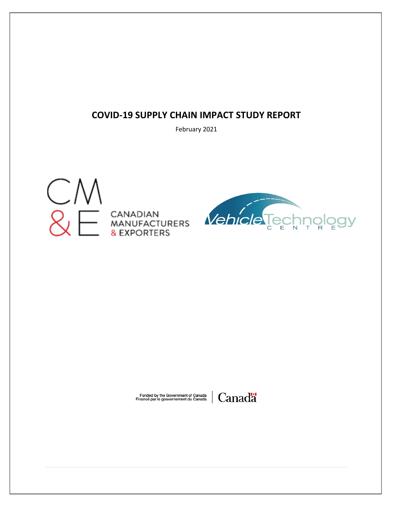### **COVID-19 SUPPLY CHAIN IMPACT STUDY REPORT**

February 2021





Funded by the Government of Canada<br>Financé par le gouvernement du Canada

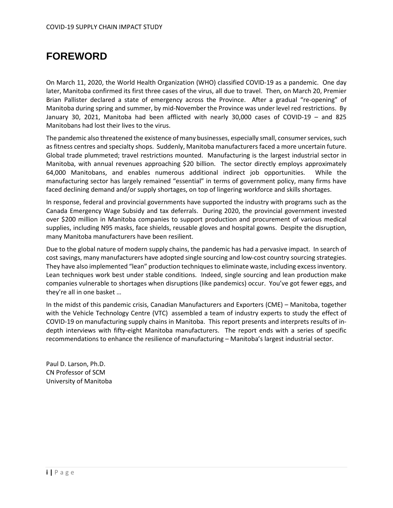## <span id="page-1-0"></span>**FOREWORD**

On March 11, 2020, the World Health Organization (WHO) classified COVID-19 as a pandemic. One day later, Manitoba confirmed its first three cases of the virus, all due to travel. Then, on March 20, Premier Brian Pallister declared a state of emergency across the Province. After a gradual "re-opening" of Manitoba during spring and summer, by mid-November the Province was under level red restrictions. By January 30, 2021, Manitoba had been afflicted with nearly 30,000 cases of COVID-19 – and 825 Manitobans had lost their lives to the virus.

The pandemic also threatened the existence of many businesses, especially small, consumer services, such as fitness centres and specialty shops. Suddenly, Manitoba manufacturers faced a more uncertain future. Global trade plummeted; travel restrictions mounted. Manufacturing is the largest industrial sector in Manitoba, with annual revenues approaching \$20 billion. The sector directly employs approximately 64,000 Manitobans, and enables numerous additional indirect job opportunities. While the manufacturing sector has largely remained "essential" in terms of government policy, many firms have faced declining demand and/or supply shortages, on top of lingering workforce and skills shortages.

In response, federal and provincial governments have supported the industry with programs such as the Canada Emergency Wage Subsidy and tax deferrals. During 2020, the provincial government invested over \$200 million in Manitoba companies to support production and procurement of various medical supplies, including N95 masks, face shields, reusable gloves and hospital gowns. Despite the disruption, many Manitoba manufacturers have been resilient.

Due to the global nature of modern supply chains, the pandemic has had a pervasive impact. In search of cost savings, many manufacturers have adopted single sourcing and low-cost country sourcing strategies. They have also implemented "lean" production techniques to eliminate waste, including excess inventory. Lean techniques work best under stable conditions. Indeed, single sourcing and lean production make companies vulnerable to shortages when disruptions (like pandemics) occur. You've got fewer eggs, and they're all in one basket …

In the midst of this pandemic crisis, Canadian Manufacturers and Exporters (CME) – Manitoba, together with the Vehicle Technology Centre (VTC) assembled a team of industry experts to study the effect of COVID-19 on manufacturing supply chains in Manitoba. This report presents and interprets results of indepth interviews with fifty-eight Manitoba manufacturers. The report ends with a series of specific recommendations to enhance the resilience of manufacturing – Manitoba's largest industrial sector.

Paul D. Larson, Ph.D. CN Professor of SCM University of Manitoba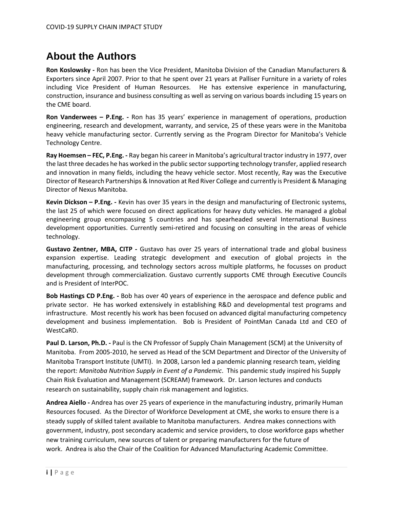## <span id="page-2-0"></span>**About the Authors**

**Ron Koslowsky -** Ron has been the Vice President, Manitoba Division of the Canadian Manufacturers & Exporters since April 2007. Prior to that he spent over 21 years at Palliser Furniture in a variety of roles including Vice President of Human Resources. He has extensive experience in manufacturing, construction, insurance and business consulting as well as serving on various boards including 15 years on the CME board.

**Ron Vanderwees – P.Eng. -** Ron has 35 years' experience in management of operations, production engineering, research and development, warranty, and service, 25 of these years were in the Manitoba heavy vehicle manufacturing sector. Currently serving as the Program Director for Manitoba's Vehicle Technology Centre.

**Ray Hoemsen – FEC, P.Eng. -** Ray began his career in Manitoba's agricultural tractor industry in 1977, over the last three decades he has worked in the public sector supporting technology transfer, applied research and innovation in many fields, including the heavy vehicle sector. Most recently, Ray was the Executive Director of Research Partnerships & Innovation at Red River College and currently is President & Managing Director of Nexus Manitoba.

**Kevin Dickson – P.Eng. -** Kevin has over 35 years in the design and manufacturing of Electronic systems, the last 25 of which were focused on direct applications for heavy duty vehicles. He managed a global engineering group encompassing 5 countries and has spearheaded several International Business development opportunities. Currently semi-retired and focusing on consulting in the areas of vehicle technology.

**Gustavo Zentner, MBA, CITP -** Gustavo has over 25 years of international trade and global business expansion expertise. Leading strategic development and execution of global projects in the manufacturing, processing, and technology sectors across multiple platforms, he focusses on product development through commercialization. Gustavo currently supports CME through Executive Councils and is President of InterPOC.

**Bob Hastings CD P.Eng. -** Bob has over 40 years of experience in the aerospace and defence public and private sector. He has worked extensively in establishing R&D and developmental test programs and infrastructure. Most recently his work has been focused on advanced digital manufacturing competency development and business implementation. Bob is President of PointMan Canada Ltd and CEO of WestCaRD.

**Paul D. Larson, Ph.D. -** Paul is the CN Professor of Supply Chain Management (SCM) at the University of Manitoba. From 2005-2010, he served as Head of the SCM Department and Director of the University of Manitoba Transport Institute (UMTI). In 2008, Larson led a pandemic planning research team, yielding the report: *Manitoba Nutrition Supply in Event of a Pandemic*. This pandemic study inspired his Supply Chain Risk Evaluation and Management (SCREAM) framework. Dr. Larson lectures and conducts research on sustainability, supply chain risk management and logistics.

**Andrea Aiello -** Andrea has over 25 years of experience in the manufacturing industry, primarily Human Resources focused. As the Director of Workforce Development at CME, she works to ensure there is a steady supply of skilled talent available to Manitoba manufacturers. Andrea makes connections with government, industry, post secondary academic and service providers, to close workforce gaps whether new training curriculum, new sources of talent or preparing manufacturers for the future of work. Andrea is also the Chair of the Coalition for Advanced Manufacturing Academic Committee.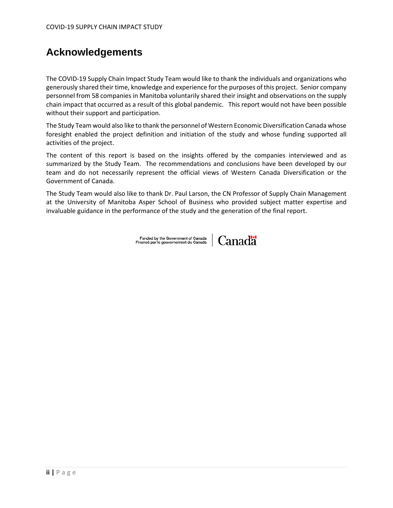## **Acknowledgements**

The COVID-19 Supply Chain Impact Study Team would like to thank the individuals and organizations who generously shared their time, knowledge and experience for the purposes of this project. Senior company personnel from 58 companies in Manitoba voluntarily shared their insight and observations on the supply chain impact that occurred as a result of this global pandemic. This report would not have been possible without their support and participation.

The Study Team would also like to thank the personnel of Western Economic Diversification Canada whose foresight enabled the project definition and initiation of the study and whose funding supported all activities of the project.

The content of this report is based on the insights offered by the companies interviewed and as summarized by the Study Team. The recommendations and conclusions have been developed by our team and do not necessarily represent the official views of Western Canada Diversification or the Government of Canada.

The Study Team would also like to thank Dr. Paul Larson, the CN Professor of Supply Chain Management at the University of Manitoba Asper School of Business who provided subject matter expertise and invaluable guidance in the performance of the study and the generation of the final report.

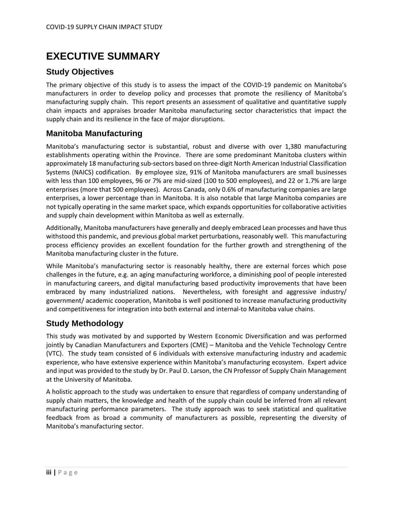## <span id="page-4-0"></span>**EXECUTIVE SUMMARY**

### <span id="page-4-1"></span>**Study Objectives**

The primary objective of this study is to assess the impact of the COVID-19 pandemic on Manitoba's manufacturers in order to develop policy and processes that promote the resiliency of Manitoba's manufacturing supply chain. This report presents an assessment of qualitative and quantitative supply chain impacts and appraises broader Manitoba manufacturing sector characteristics that impact the supply chain and its resilience in the face of major disruptions.

### <span id="page-4-2"></span>**Manitoba Manufacturing**

Manitoba's manufacturing sector is substantial, robust and diverse with over 1,380 manufacturing establishments operating within the Province. There are some predominant Manitoba clusters within approximately 18 manufacturing sub-sectors based on three-digit North American Industrial Classification Systems (NAICS) codification. By employee size, 91% of Manitoba manufacturers are small businesses with less than 100 employees, 96 or 7% are mid-sized (100 to 500 employees), and 22 or 1.7% are large enterprises (more that 500 employees). Across Canada, only 0.6% of manufacturing companies are large enterprises, a lower percentage than in Manitoba. It is also notable that large Manitoba companies are not typically operating in the same market space, which expands opportunities for collaborative activities and supply chain development within Manitoba as well as externally.

Additionally, Manitoba manufacturers have generally and deeply embraced Lean processes and have thus withstood this pandemic, and previous global market perturbations, reasonably well. This manufacturing process efficiency provides an excellent foundation for the further growth and strengthening of the Manitoba manufacturing cluster in the future.

While Manitoba's manufacturing sector is reasonably healthy, there are external forces which pose challenges in the future, e.g. an aging manufacturing workforce, a diminishing pool of people interested in manufacturing careers, and digital manufacturing based productivity improvements that have been embraced by many industrialized nations. Nevertheless, with foresight and aggressive industry/ government/ academic cooperation, Manitoba is well positioned to increase manufacturing productivity and competitiveness for integration into both external and internal-to Manitoba value chains.

### <span id="page-4-3"></span>**Study Methodology**

This study was motivated by and supported by Western Economic Diversification and was performed jointly by Canadian Manufacturers and Exporters (CME) – Manitoba and the Vehicle Technology Centre (VTC). The study team consisted of 6 individuals with extensive manufacturing industry and academic experience, who have extensive experience within Manitoba's manufacturing ecosystem. Expert advice and input was provided to the study by Dr. Paul D. Larson, the CN Professor of Supply Chain Management at the University of Manitoba.

A holistic approach to the study was undertaken to ensure that regardless of company understanding of supply chain matters, the knowledge and health of the supply chain could be inferred from all relevant manufacturing performance parameters. The study approach was to seek statistical and qualitative feedback from as broad a community of manufacturers as possible, representing the diversity of Manitoba's manufacturing sector.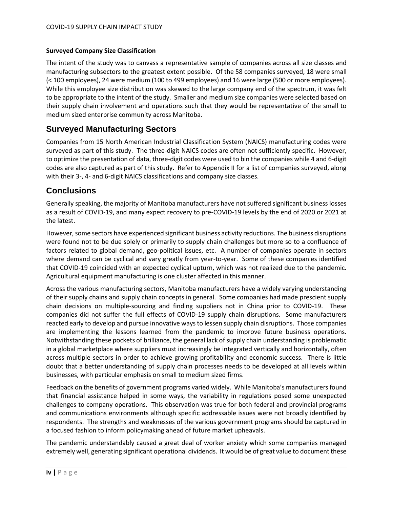#### **Surveyed Company Size Classification**

The intent of the study was to canvass a representative sample of companies across all size classes and manufacturing subsectors to the greatest extent possible. Of the 58 companies surveyed, 18 were small (< 100 employees), 24 were medium (100 to 499 employees) and 16 were large (500 or more employees). While this employee size distribution was skewed to the large company end of the spectrum, it was felt to be appropriate to the intent of the study. Smaller and medium size companies were selected based on their supply chain involvement and operations such that they would be representative of the small to medium sized enterprise community across Manitoba.

### <span id="page-5-0"></span>**Surveyed Manufacturing Sectors**

Companies from 15 North American Industrial Classification System (NAICS) manufacturing codes were surveyed as part of this study. The three-digit NAICS codes are often not sufficiently specific. However, to optimize the presentation of data, three-digit codes were used to bin the companies while 4 and 6-digit codes are also captured as part of this study. Refer to Appendix II for a list of companies surveyed, along with their 3-, 4- and 6-digit NAICS classifications and company size classes.

### <span id="page-5-1"></span>**Conclusions**

Generally speaking, the majority of Manitoba manufacturers have not suffered significant business losses as a result of COVID-19, and many expect recovery to pre-COVID-19 levels by the end of 2020 or 2021 at the latest.

However, some sectors have experienced significant business activity reductions. The business disruptions were found not to be due solely or primarily to supply chain challenges but more so to a confluence of factors related to global demand, geo-political issues, etc. A number of companies operate in sectors where demand can be cyclical and vary greatly from year-to-year. Some of these companies identified that COVID-19 coincided with an expected cyclical upturn, which was not realized due to the pandemic. Agricultural equipment manufacturing is one cluster affected in this manner.

Across the various manufacturing sectors, Manitoba manufacturers have a widely varying understanding of their supply chains and supply chain concepts in general. Some companies had made prescient supply chain decisions on multiple-sourcing and finding suppliers not in China prior to COVID-19. These companies did not suffer the full effects of COVID-19 supply chain disruptions. Some manufacturers reacted early to develop and pursue innovative ways to lessen supply chain disruptions. Those companies are implementing the lessons learned from the pandemic to improve future business operations. Notwithstanding these pockets of brilliance, the general lack of supply chain understanding is problematic in a global marketplace where suppliers must increasingly be integrated vertically and horizontally, often across multiple sectors in order to achieve growing profitability and economic success. There is little doubt that a better understanding of supply chain processes needs to be developed at all levels within businesses, with particular emphasis on small to medium sized firms.

Feedback on the benefits of government programs varied widely. While Manitoba's manufacturers found that financial assistance helped in some ways, the variability in regulations posed some unexpected challenges to company operations. This observation was true for both federal and provincial programs and communications environments although specific addressable issues were not broadly identified by respondents. The strengths and weaknesses of the various government programs should be captured in a focused fashion to inform policymaking ahead of future market upheavals.

The pandemic understandably caused a great deal of worker anxiety which some companies managed extremely well, generating significant operational dividends. It would be of great value to document these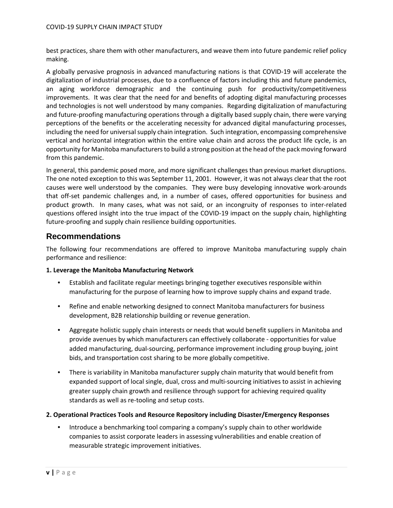best practices, share them with other manufacturers, and weave them into future pandemic relief policy making.

A globally pervasive prognosis in advanced manufacturing nations is that COVID-19 will accelerate the digitalization of industrial processes, due to a confluence of factors including this and future pandemics, an aging workforce demographic and the continuing push for productivity/competitiveness improvements. It was clear that the need for and benefits of adopting digital manufacturing processes and technologies is not well understood by many companies. Regarding digitalization of manufacturing and future-proofing manufacturing operations through a digitally based supply chain, there were varying perceptions of the benefits or the accelerating necessity for advanced digital manufacturing processes, including the need for universal supply chain integration. Such integration, encompassing comprehensive vertical and horizontal integration within the entire value chain and across the product life cycle, is an opportunity for Manitoba manufacturers to build a strong position at the head of the pack moving forward from this pandemic.

In general, this pandemic posed more, and more significant challenges than previous market disruptions. The one noted exception to this was September 11, 2001. However, it was not always clear that the root causes were well understood by the companies. They were busy developing innovative work-arounds that off-set pandemic challenges and, in a number of cases, offered opportunities for business and product growth. In many cases, what was not said, or an incongruity of responses to inter-related questions offered insight into the true impact of the COVID-19 impact on the supply chain, highlighting future-proofing and supply chain resilience building opportunities.

### <span id="page-6-0"></span>**Recommendations**

The following four recommendations are offered to improve Manitoba manufacturing supply chain performance and resilience:

#### **1. Leverage the Manitoba Manufacturing Network**

- Establish and facilitate regular meetings bringing together executives responsible within manufacturing for the purpose of learning how to improve supply chains and expand trade.
- Refine and enable networking designed to connect Manitoba manufacturers for business development, B2B relationship building or revenue generation.
- Aggregate holistic supply chain interests or needs that would benefit suppliers in Manitoba and provide avenues by which manufacturers can effectively collaborate - opportunities for value added manufacturing, dual-sourcing, performance improvement including group buying, joint bids, and transportation cost sharing to be more globally competitive.
- There is variability in Manitoba manufacturer supply chain maturity that would benefit from expanded support of local single, dual, cross and multi-sourcing initiatives to assist in achieving greater supply chain growth and resilience through support for achieving required quality standards as well as re-tooling and setup costs.

#### **2. Operational Practices Tools and Resource Repository including Disaster/Emergency Responses**

• Introduce a benchmarking tool comparing a company's supply chain to other worldwide companies to assist corporate leaders in assessing vulnerabilities and enable creation of measurable strategic improvement initiatives.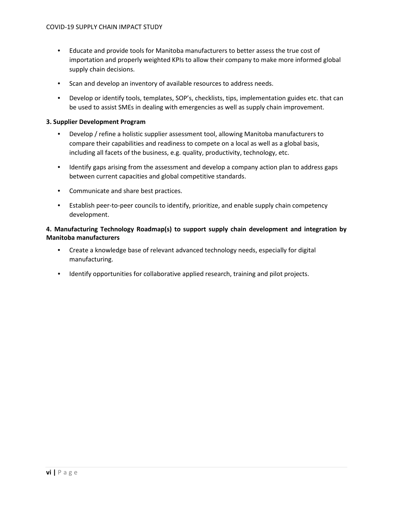- Educate and provide tools for Manitoba manufacturers to better assess the true cost of importation and properly weighted KPIs to allow their company to make more informed global supply chain decisions.
- Scan and develop an inventory of available resources to address needs.
- Develop or identify tools, templates, SOP's, checklists, tips, implementation guides etc. that can be used to assist SMEs in dealing with emergencies as well as supply chain improvement.

#### **3. Supplier Development Program**

- Develop / refine a holistic supplier assessment tool, allowing Manitoba manufacturers to compare their capabilities and readiness to compete on a local as well as a global basis, including all facets of the business, e.g. quality, productivity, technology, etc.
- Identify gaps arising from the assessment and develop a company action plan to address gaps between current capacities and global competitive standards.
- Communicate and share best practices.
- Establish peer-to-peer councils to identify, prioritize, and enable supply chain competency development.

#### **4. Manufacturing Technology Roadmap(s) to support supply chain development and integration by Manitoba manufacturers**

- Create a knowledge base of relevant advanced technology needs, especially for digital manufacturing.
- Identify opportunities for collaborative applied research, training and pilot projects.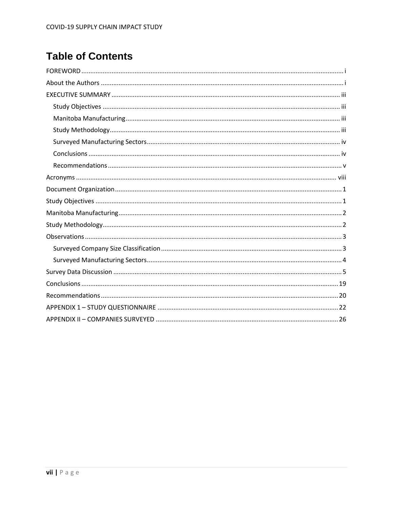# **Table of Contents**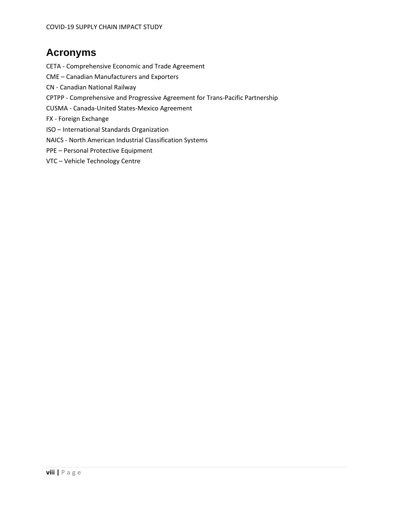# <span id="page-9-0"></span>**Acronyms**

CETA - Comprehensive Economic and Trade Agreement

- CME Canadian Manufacturers and Exporters
- CN Canadian National Railway
- CPTPP Comprehensive and Progressive Agreement for Trans-Pacific Partnership
- CUSMA Canada-United States-Mexico Agreement
- FX Foreign Exchange
- ISO International Standards Organization
- NAICS North American Industrial Classification Systems
- PPE Personal Protective Equipment
- VTC Vehicle Technology Centre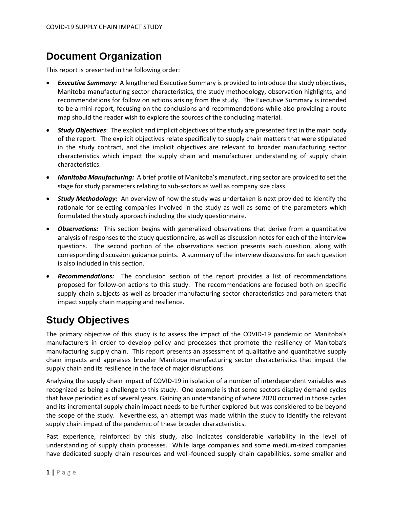## <span id="page-10-0"></span>**Document Organization**

This report is presented in the following order:

- **Executive Summary:** A lengthened Executive Summary is provided to introduce the study objectives, Manitoba manufacturing sector characteristics, the study methodology, observation highlights, and recommendations for follow on actions arising from the study. The Executive Summary is intended to be a mini-report, focusing on the conclusions and recommendations while also providing a route map should the reader wish to explore the sources of the concluding material.
- *Study Objectives*: The explicit and implicit objectives of the study are presented first in the main body of the report. The explicit objectives relate specifically to supply chain matters that were stipulated in the study contract, and the implicit objectives are relevant to broader manufacturing sector characteristics which impact the supply chain and manufacturer understanding of supply chain characteristics.
- *Manitoba Manufacturing:* A brief profile of Manitoba's manufacturing sector are provided to set the stage for study parameters relating to sub-sectors as well as company size class.
- *Study Methodology:* An overview of how the study was undertaken is next provided to identify the rationale for selecting companies involved in the study as well as some of the parameters which formulated the study approach including the study questionnaire.
- *Observations:* This section begins with generalized observations that derive from a quantitative analysis of responses to the study questionnaire, as well as discussion notes for each of the interview questions. The second portion of the observations section presents each question, along with corresponding discussion guidance points. A summary of the interview discussions for each question is also included in this section.
- *Recommendations:* The conclusion section of the report provides a list of recommendations proposed for follow-on actions to this study. The recommendations are focused both on specific supply chain subjects as well as broader manufacturing sector characteristics and parameters that impact supply chain mapping and resilience.

## <span id="page-10-1"></span>**Study Objectives**

The primary objective of this study is to assess the impact of the COVID-19 pandemic on Manitoba's manufacturers in order to develop policy and processes that promote the resiliency of Manitoba's manufacturing supply chain. This report presents an assessment of qualitative and quantitative supply chain impacts and appraises broader Manitoba manufacturing sector characteristics that impact the supply chain and its resilience in the face of major disruptions.

Analysing the supply chain impact of COVID-19 in isolation of a number of interdependent variables was recognized as being a challenge to this study. One example is that some sectors display demand cycles that have periodicities of several years. Gaining an understanding of where 2020 occurred in those cycles and its incremental supply chain impact needs to be further explored but was considered to be beyond the scope of the study. Nevertheless, an attempt was made within the study to identify the relevant supply chain impact of the pandemic of these broader characteristics.

Past experience, reinforced by this study, also indicates considerable variability in the level of understanding of supply chain processes. While large companies and some medium-sized companies have dedicated supply chain resources and well-founded supply chain capabilities, some smaller and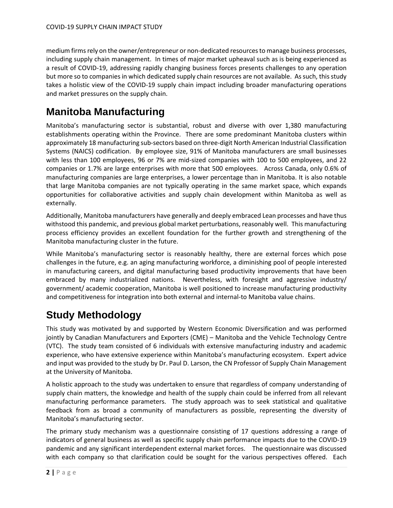medium firms rely on the owner/entrepreneur or non-dedicated resources to manage business processes, including supply chain management. In times of major market upheaval such as is being experienced as a result of COVID-19, addressing rapidly changing business forces presents challenges to any operation but more so to companies in which dedicated supply chain resources are not available. As such, this study takes a holistic view of the COVID-19 supply chain impact including broader manufacturing operations and market pressures on the supply chain.

# <span id="page-11-0"></span>**Manitoba Manufacturing**

Manitoba's manufacturing sector is substantial, robust and diverse with over 1,380 manufacturing establishments operating within the Province. There are some predominant Manitoba clusters within approximately 18 manufacturing sub-sectors based on three-digit North American Industrial Classification Systems (NAICS) codification. By employee size, 91% of Manitoba manufacturers are small businesses with less than 100 employees, 96 or 7% are mid-sized companies with 100 to 500 employees, and 22 companies or 1.7% are large enterprises with more that 500 employees. Across Canada, only 0.6% of manufacturing companies are large enterprises, a lower percentage than in Manitoba. It is also notable that large Manitoba companies are not typically operating in the same market space, which expands opportunities for collaborative activities and supply chain development within Manitoba as well as externally.

Additionally, Manitoba manufacturers have generally and deeply embraced Lean processes and have thus withstood this pandemic, and previous global market perturbations, reasonably well. This manufacturing process efficiency provides an excellent foundation for the further growth and strengthening of the Manitoba manufacturing cluster in the future.

While Manitoba's manufacturing sector is reasonably healthy, there are external forces which pose challenges in the future, e.g. an aging manufacturing workforce, a diminishing pool of people interested in manufacturing careers, and digital manufacturing based productivity improvements that have been embraced by many industrialized nations. Nevertheless, with foresight and aggressive industry/ government/ academic cooperation, Manitoba is well positioned to increase manufacturing productivity and competitiveness for integration into both external and internal-to Manitoba value chains.

# <span id="page-11-1"></span>**Study Methodology**

This study was motivated by and supported by Western Economic Diversification and was performed jointly by Canadian Manufacturers and Exporters (CME) – Manitoba and the Vehicle Technology Centre (VTC). The study team consisted of 6 individuals with extensive manufacturing industry and academic experience, who have extensive experience within Manitoba's manufacturing ecosystem. Expert advice and input was provided to the study by Dr. Paul D. Larson, the CN Professor of Supply Chain Management at the University of Manitoba.

A holistic approach to the study was undertaken to ensure that regardless of company understanding of supply chain matters, the knowledge and health of the supply chain could be inferred from all relevant manufacturing performance parameters. The study approach was to seek statistical and qualitative feedback from as broad a community of manufacturers as possible, representing the diversity of Manitoba's manufacturing sector.

The primary study mechanism was a questionnaire consisting of 17 questions addressing a range of indicators of general business as well as specific supply chain performance impacts due to the COVID-19 pandemic and any significant interdependent external market forces. The questionnaire was discussed with each company so that clarification could be sought for the various perspectives offered. Each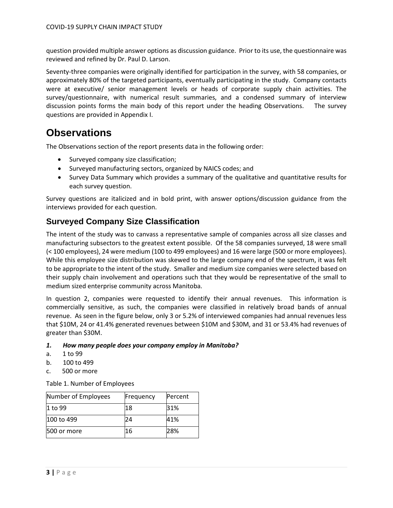question provided multiple answer options as discussion guidance. Prior to its use, the questionnaire was reviewed and refined by Dr. Paul D. Larson.

Seventy-three companies were originally identified for participation in the survey, with 58 companies, or approximately 80% of the targeted participants, eventually participating in the study. Company contacts were at executive/ senior management levels or heads of corporate supply chain activities. The survey/questionnaire, with numerical result summaries, and a condensed summary of interview discussion points forms the main body of this report under the heading Observations. The survey questions are provided in Appendix I.

### <span id="page-12-0"></span>**Observations**

The Observations section of the report presents data in the following order:

- Surveyed company size classification;
- Surveyed manufacturing sectors, organized by NAICS codes; and
- Survey Data Summary which provides a summary of the qualitative and quantitative results for each survey question.

Survey questions are italicized and in bold print, with answer options/discussion guidance from the interviews provided for each question.

### <span id="page-12-1"></span>**Surveyed Company Size Classification**

The intent of the study was to canvass a representative sample of companies across all size classes and manufacturing subsectors to the greatest extent possible. Of the 58 companies surveyed, 18 were small (< 100 employees), 24 were medium (100 to 499 employees) and 16 were large (500 or more employees). While this employee size distribution was skewed to the large company end of the spectrum, it was felt to be appropriate to the intent of the study. Smaller and medium size companies were selected based on their supply chain involvement and operations such that they would be representative of the small to medium sized enterprise community across Manitoba.

In question 2, companies were requested to identify their annual revenues. This information is commercially sensitive, as such, the companies were classified in relatively broad bands of annual revenue. As seen in the figure below, only 3 or 5.2% of interviewed companies had annual revenues less that \$10M, 24 or 41.4% generated revenues between \$10M and \$30M, and 31 or 53.4% had revenues of greater than \$30M.

#### *1. How many people does your company employ in Manitoba?*

- a. 1 to 99
- b. 100 to 499
- c. 500 or more

Table 1. Number of Employees

| Number of Employees | Frequency | Percent |
|---------------------|-----------|---------|
| 1 to 99             | 18        | 31%     |
| 100 to 499          | 24        | 41%     |
| 500 or more         | 16        | 28%     |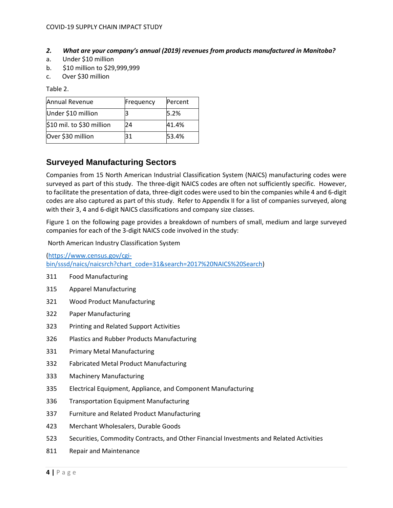- *2. What are your company's annual (2019) revenues from products manufactured in Manitoba?*
- a. Under \$10 million
- b. \$10 million to \$29,999,999
- c. Over \$30 million

Table 2.

| Annual Revenue            | Frequency | Percent |
|---------------------------|-----------|---------|
| Under \$10 million        |           | 5.2%    |
| \$10 mil. to \$30 million | 24        | 41.4%   |
| Over \$30 million         | 31        | 53.4%   |

### <span id="page-13-0"></span>**Surveyed Manufacturing Sectors**

Companies from 15 North American Industrial Classification System (NAICS) manufacturing codes were surveyed as part of this study. The three-digit NAICS codes are often not sufficiently specific. However, to facilitate the presentation of data, three-digit codes were used to bin the companies while 4 and 6-digit codes are also captured as part of this study. Refer to Appendix II for a list of companies surveyed, along with their 3, 4 and 6-digit NAICS classifications and company size classes.

Figure 1 on the following page provides a breakdown of numbers of small, medium and large surveyed companies for each of the 3-digit NAICS code involved in the study:

North American Industry Classification System

[\(https://www.census.gov/cgi](https://www.census.gov/cgi-bin/sssd/naics/naicsrch?chart_code=31&search=2017%20NAICS%20Search)[bin/sssd/naics/naicsrch?chart\\_code=31&search=2017%20NAICS%20Search\)](https://www.census.gov/cgi-bin/sssd/naics/naicsrch?chart_code=31&search=2017%20NAICS%20Search)

- 311 Food Manufacturing
- 315 Apparel Manufacturing
- 321 Wood Product Manufacturing
- 322 Paper Manufacturing
- 323 Printing and Related Support Activities
- 326 Plastics and Rubber Products Manufacturing
- 331 Primary Metal Manufacturing
- 332 Fabricated Metal Product Manufacturing
- 333 Machinery Manufacturing
- 335 Electrical Equipment, Appliance, and Component Manufacturing
- 336 Transportation Equipment Manufacturing
- 337 Furniture and Related Product Manufacturing
- 423 Merchant Wholesalers, Durable Goods
- 523 Securities, Commodity Contracts, and Other Financial Investments and Related Activities
- 811 Repair and Maintenance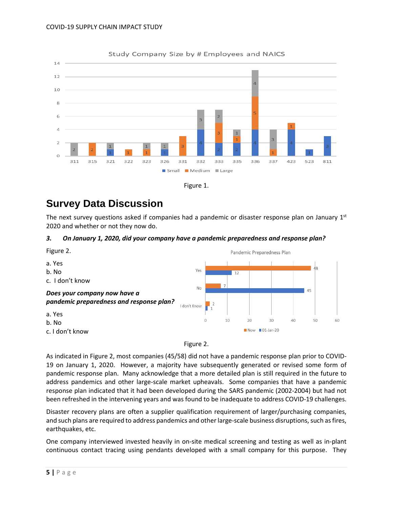

#### Study Company Size by # Employees and NAICS



## <span id="page-14-0"></span>**Survey Data Discussion**

The next survey questions asked if companies had a pandemic or disaster response plan on January  $1<sup>st</sup>$ 2020 and whether or not they now do.

#### *3. On January 1, 2020, did your company have a pandemic preparedness and response plan?*



Figure 2.

As indicated in Figure 2, most companies (45/58) did not have a pandemic response plan prior to COVID-19 on January 1, 2020. However, a majority have subsequently generated or revised some form of pandemic response plan. Many acknowledge that a more detailed plan is still required in the future to address pandemics and other large-scale market upheavals. Some companies that have a pandemic response plan indicated that it had been developed during the SARS pandemic (2002-2004) but had not been refreshed in the intervening years and was found to be inadequate to address COVID-19 challenges.

Disaster recovery plans are often a supplier qualification requirement of larger/purchasing companies, and such plans are required to address pandemics and other large-scale business disruptions, such as fires, earthquakes, etc.

One company interviewed invested heavily in on-site medical screening and testing as well as in-plant continuous contact tracing using pendants developed with a small company for this purpose. They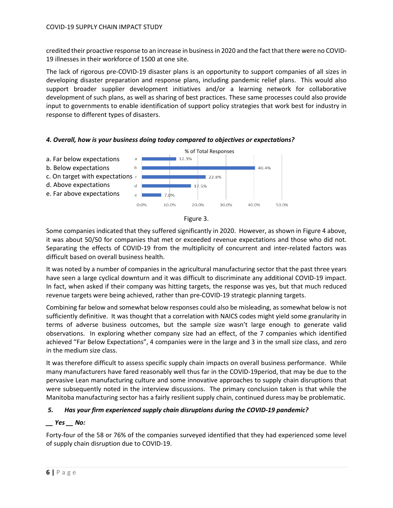credited their proactive response to an increase in business in 2020 and the fact that there were no COVID-19 illnesses in their workforce of 1500 at one site.

The lack of rigorous pre-COVID-19 disaster plans is an opportunity to support companies of all sizes in developing disaster preparation and response plans, including pandemic relief plans. This would also support broader supplier development initiatives and/or a learning network for collaborative development of such plans, as well as sharing of best practices. These same processes could also provide input to governments to enable identification of support policy strategies that work best for industry in response to different types of disasters.







Some companies indicated that they suffered significantly in 2020. However, as shown in Figure 4 above, it was about 50/50 for companies that met or exceeded revenue expectations and those who did not. Separating the effects of COVID-19 from the multiplicity of concurrent and inter-related factors was difficult based on overall business health.

It was noted by a number of companies in the agricultural manufacturing sector that the past three years have seen a large cyclical downturn and it was difficult to discriminate any additional COVID-19 impact. In fact, when asked if their company was hitting targets, the response was yes, but that much reduced revenue targets were being achieved, rather than pre-COVID-19 strategic planning targets.

Combining far below and somewhat below responses could also be misleading, as somewhat below is not sufficiently definitive. It was thought that a correlation with NAICS codes might yield some granularity in terms of adverse business outcomes, but the sample size wasn't large enough to generate valid observations. In exploring whether company size had an effect, of the 7 companies which identified achieved "Far Below Expectations", 4 companies were in the large and 3 in the small size class, and zero in the medium size class.

It was therefore difficult to assess specific supply chain impacts on overall business performance. While many manufacturers have fared reasonably well thus far in the COVID-19period, that may be due to the pervasive Lean manufacturing culture and some innovative approaches to supply chain disruptions that were subsequently noted in the interview discussions. The primary conclusion taken is that while the Manitoba manufacturing sector has a fairly resilient supply chain, continued duress may be problematic.

#### *5. Has your firm experienced supply chain disruptions during the COVID-19 pandemic?*

#### *\_\_ Yes \_\_ No:*

Forty-four of the 58 or 76% of the companies surveyed identified that they had experienced some level of supply chain disruption due to COVID-19.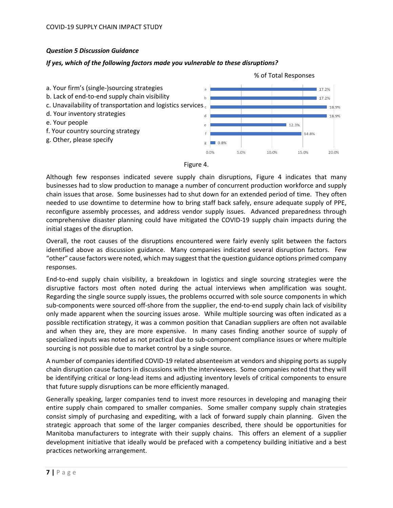#### *Question 5 Discussion Guidance*

#### *If yes, which of the following factors made you vulnerable to these disruptions?*





Although few responses indicated severe supply chain disruptions, Figure 4 indicates that many businesses had to slow production to manage a number of concurrent production workforce and supply chain issues that arose. Some businesses had to shut down for an extended period of time. They often needed to use downtime to determine how to bring staff back safely, ensure adequate supply of PPE, reconfigure assembly processes, and address vendor supply issues. Advanced preparedness through comprehensive disaster planning could have mitigated the COVID-19 supply chain impacts during the initial stages of the disruption.

Overall, the root causes of the disruptions encountered were fairly evenly split between the factors identified above as discussion guidance. Many companies indicated several disruption factors. Few "other" cause factors were noted, which may suggest that the question guidance options primed company responses.

End-to-end supply chain visibility, a breakdown in logistics and single sourcing strategies were the disruptive factors most often noted during the actual interviews when amplification was sought. Regarding the single source supply issues, the problems occurred with sole source components in which sub-components were sourced off-shore from the supplier, the end-to-end supply chain lack of visibility only made apparent when the sourcing issues arose. While multiple sourcing was often indicated as a possible rectification strategy, it was a common position that Canadian suppliers are often not available and when they are, they are more expensive. In many cases finding another source of supply of specialized inputs was noted as not practical due to sub-component compliance issues or where multiple sourcing is not possible due to market control by a single source.

A number of companies identified COVID-19 related absenteeism at vendors and shipping ports as supply chain disruption cause factors in discussions with the interviewees. Some companies noted that they will be identifying critical or long-lead items and adjusting inventory levels of critical components to ensure that future supply disruptions can be more efficiently managed.

Generally speaking, larger companies tend to invest more resources in developing and managing their entire supply chain compared to smaller companies. Some smaller company supply chain strategies consist simply of purchasing and expediting, with a lack of forward supply chain planning. Given the strategic approach that some of the larger companies described, there should be opportunities for Manitoba manufacturers to integrate with their supply chains. This offers an element of a supplier development initiative that ideally would be prefaced with a competency building initiative and a best practices networking arrangement.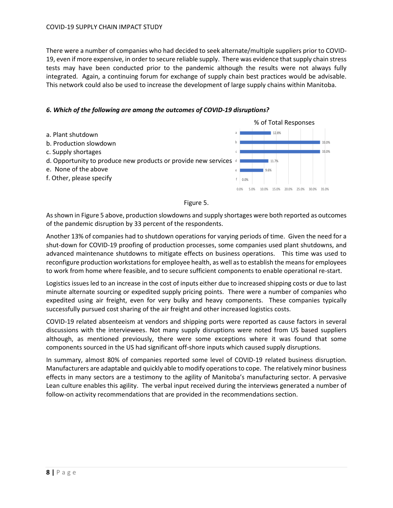There were a number of companies who had decided to seek alternate/multiple suppliers prior to COVID-19, even if more expensive, in order to secure reliable supply. There was evidence that supply chain stress tests may have been conducted prior to the pandemic although the results were not always fully integrated. Again, a continuing forum for exchange of supply chain best practices would be advisable. This network could also be used to increase the development of large supply chains within Manitoba.

#### *6. Which of the following are among the outcomes of COVID-19 disruptions?*



#### Figure 5.

As shown in Figure 5 above, production slowdowns and supply shortages were both reported as outcomes of the pandemic disruption by 33 percent of the respondents.

Another 13% of companies had to shutdown operations for varying periods of time. Given the need for a shut-down for COVID-19 proofing of production processes, some companies used plant shutdowns, and advanced maintenance shutdowns to mitigate effects on business operations. This time was used to reconfigure production workstations for employee health, as well as to establish the means for employees to work from home where feasible, and to secure sufficient components to enable operational re-start.

Logistics issues led to an increase in the cost of inputs either due to increased shipping costs or due to last minute alternate sourcing or expedited supply pricing points. There were a number of companies who expedited using air freight, even for very bulky and heavy components. These companies typically successfully pursued cost sharing of the air freight and other increased logistics costs.

COVID-19 related absenteeism at vendors and shipping ports were reported as cause factors in several discussions with the interviewees. Not many supply disruptions were noted from US based suppliers although, as mentioned previously, there were some exceptions where it was found that some components sourced in the US had significant off-shore inputs which caused supply disruptions.

In summary, almost 80% of companies reported some level of COVID-19 related business disruption. Manufacturers are adaptable and quickly able to modify operations to cope. The relatively minor business effects in many sectors are a testimony to the agility of Manitoba's manufacturing sector. A pervasive Lean culture enables this agility. The verbal input received during the interviews generated a number of follow-on activity recommendations that are provided in the recommendations section.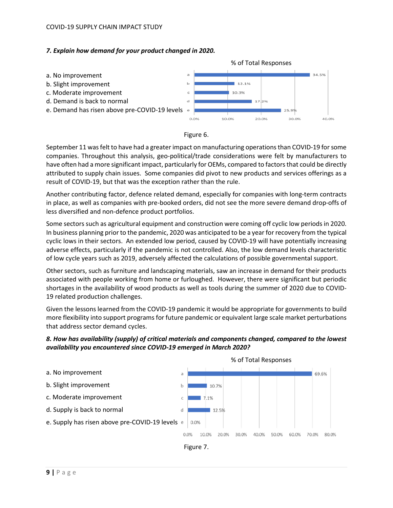#### COVID-19 SUPPLY CHAIN IMPACT STUDY

#### *7. Explain how demand for your product changed in 2020.*





September 11 was felt to have had a greater impact on manufacturing operations than COVID-19 for some companies. Throughout this analysis, geo-political/trade considerations were felt by manufacturers to have often had a more significant impact, particularly for OEMs, compared to factors that could be directly attributed to supply chain issues. Some companies did pivot to new products and services offerings as a result of COVID-19, but that was the exception rather than the rule.

Another contributing factor, defence related demand, especially for companies with long-term contracts in place, as well as companies with pre-booked orders, did not see the more severe demand drop-offs of less diversified and non-defence product portfolios.

Some sectors such as agricultural equipment and construction were coming off cyclic low periods in 2020. In business planning prior to the pandemic, 2020 was anticipated to be a year for recovery from the typical cyclic lows in their sectors. An extended low period, caused by COVID-19 will have potentially increasing adverse effects, particularly if the pandemic is not controlled. Also, the low demand levels characteristic of low cycle years such as 2019, adversely affected the calculations of possible governmental support.

Other sectors, such as furniture and landscaping materials, saw an increase in demand for their products associated with people working from home or furloughed. However, there were significant but periodic shortages in the availability of wood products as well as tools during the summer of 2020 due to COVID-19 related production challenges.

Given the lessons learned from the COVID-19 pandemic it would be appropriate for governments to build more flexibility into support programs for future pandemic or equivalent large scale market perturbations that address sector demand cycles.



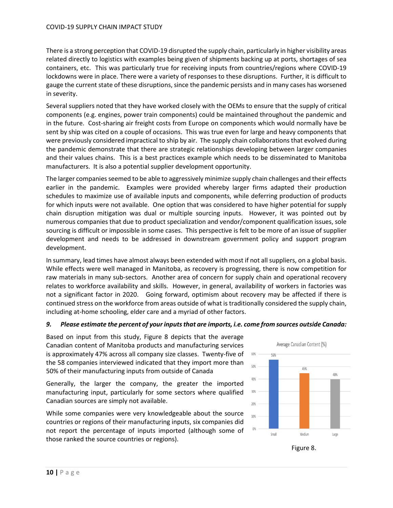There is a strong perception that COVID-19 disrupted the supply chain, particularly in higher visibility areas related directly to logistics with examples being given of shipments backing up at ports, shortages of sea containers, etc. This was particularly true for receiving inputs from countries/regions where COVID-19 lockdowns were in place. There were a variety of responses to these disruptions. Further, it is difficult to gauge the current state of these disruptions, since the pandemic persists and in many cases has worsened in severity.

Several suppliers noted that they have worked closely with the OEMs to ensure that the supply of critical components (e.g. engines, power train components) could be maintained throughout the pandemic and in the future. Cost-sharing air freight costs from Europe on components which would normally have be sent by ship was cited on a couple of occasions. This was true even for large and heavy components that were previously considered impractical to ship by air. The supply chain collaborations that evolved during the pandemic demonstrate that there are strategic relationships developing between larger companies and their values chains. This is a best practices example which needs to be disseminated to Manitoba manufacturers. It is also a potential supplier development opportunity.

The larger companies seemed to be able to aggressively minimize supply chain challenges and their effects earlier in the pandemic. Examples were provided whereby larger firms adapted their production schedules to maximize use of available inputs and components, while deferring production of products for which inputs were not available. One option that was considered to have higher potential for supply chain disruption mitigation was dual or multiple sourcing inputs. However, it was pointed out by numerous companies that due to product specialization and vendor/component qualification issues, sole sourcing is difficult or impossible in some cases. This perspective is felt to be more of an issue of supplier development and needs to be addressed in downstream government policy and support program development.

In summary, lead times have almost always been extended with most if not all suppliers, on a global basis. While effects were well managed in Manitoba, as recovery is progressing, there is now competition for raw materials in many sub-sectors. Another area of concern for supply chain and operational recovery relates to workforce availability and skills. However, in general, availability of workers in factories was not a significant factor in 2020. Going forward, optimism about recovery may be affected if there is continued stress on the workforce from areas outside of what is traditionally considered the supply chain, including at-home schooling, elder care and a myriad of other factors.

#### *9. Please estimate the percent of your inputs that are imports, i.e. come from sources outside Canada:*

Based on input from this study, Figure 8 depicts that the average Canadian content of Manitoba products and manufacturing services is approximately 47% across all company size classes. Twenty-five of the 58 companies interviewed indicated that they import more than 50% of their manufacturing inputs from outside of Canada

Generally, the larger the company, the greater the imported manufacturing input, particularly for some sectors where qualified Canadian sources are simply not available.

While some companies were very knowledgeable about the source countries or regions of their manufacturing inputs, six companies did not report the percentage of inputs imported (although some of those ranked the source countries or regions).



Figure 8.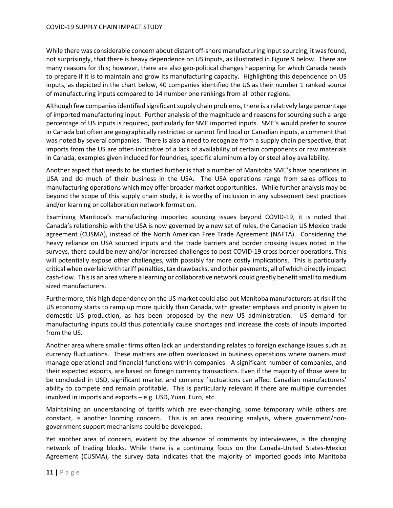While there was considerable concern about distant off-shore manufacturing input sourcing, it was found, not surprisingly, that there is heavy dependence on US inputs, as illustrated in Figure 9 below. There are many reasons for this; however, there are also geo-political changes happening for which Canada needs to prepare if it is to maintain and grow its manufacturing capacity. Highlighting this dependence on US inputs, as depicted in the chart below, 40 companies identified the US as their number 1 ranked source of manufacturing inputs compared to 14 number one rankings from all other regions.

Although few companies identified significant supply chain problems,there is a relatively large percentage of imported manufacturing input. Further analysis of the magnitude and reasons for sourcing such a large percentage of US inputs is required, particularly for SME imported inputs. SME's would prefer to source in Canada but often are geographically restricted or cannot find local or Canadian inputs, a comment that was noted by several companies. There is also a need to recognize from a supply chain perspective, that imports from the US are often indicative of a lack of availability of certain components or raw materials in Canada, examples given included for foundries, specific aluminum alloy or steel alloy availability.

Another aspect that needs to be studied further is that a number of Manitoba SME's have operations in USA and do much of their business in the USA. The USA operations range from sales offices to manufacturing operations which may offer broader market opportunities. While further analysis may be beyond the scope of this supply chain study, it is worthy of inclusion in any subsequent best practices and/or learning or collaboration network formation.

Examining Manitoba's manufacturing imported sourcing issues beyond COVID-19, it is noted that Canada's relationship with the USA is now governed by a new set of rules, the Canadian US Mexico trade agreement (CUSMA), instead of the North American Free Trade Agreement (NAFTA). Considering the heavy reliance on USA sourced inputs and the trade barriers and border crossing issues noted in the surveys, there could be new and/or increased challenges to post COVID-19 cross border operations. This will potentially expose other challenges, with possibly far more costly implications. This is particularly critical when overlaid with tariff penalties, tax drawbacks, and other payments, all of which directly impact cash-flow. This is an area where a learning or collaborative network could greatly benefit small to medium sized manufacturers.

Furthermore, this high dependency on the US market could also put Manitoba manufacturers at risk if the US economy starts to ramp up more quickly than Canada, with greater emphasis and priority is given to domestic US production, as has been proposed by the new US administration. US demand for manufacturing inputs could thus potentially cause shortages and increase the costs of inputs imported from the US.

Another area where smaller firms often lack an understanding relates to foreign exchange issues such as currency fluctuations. These matters are often overlooked in business operations where owners must manage operational and financial functions within companies. A significant number of companies, and their expected exports, are based on foreign currency transactions. Even if the majority of those were to be concluded in USD, significant market and currency fluctuations can affect Canadian manufacturers' ability to compete and remain profitable. This is particularly relevant if there are multiple currencies involved in imports and exports – e.g. USD, Yuan, Euro, etc.

Maintaining an understanding of tariffs which are ever-changing, some temporary while others are constant, is another looming concern. This is an area requiring analysis, where government/nongovernment support mechanisms could be developed.

Yet another area of concern, evident by the absence of comments by interviewees, is the changing network of trading blocks. While there is a continuing focus on the Canada-United States-Mexico Agreement (CUSMA), the survey data indicates that the majority of imported goods into Manitoba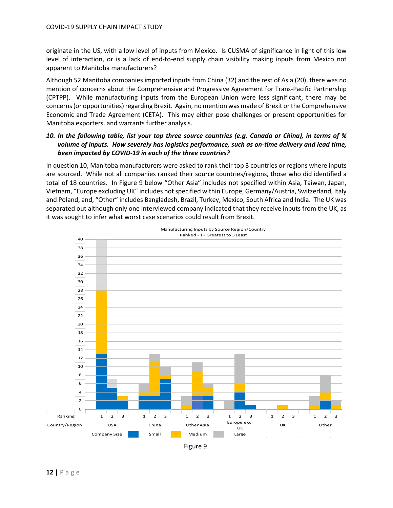originate in the US, with a low level of inputs from Mexico. Is CUSMA of significance in light of this low level of interaction, or is a lack of end-to-end supply chain visibility making inputs from Mexico not apparent to Manitoba manufacturers?

Although 52 Manitoba companies imported inputs from China (32) and the rest of Asia (20), there was no mention of concerns about the Comprehensive and Progressive Agreement for Trans-Pacific Partnership (CPTPP). While manufacturing inputs from the European Union were less significant, there may be concerns (or opportunities) regarding Brexit. Again, no mention was made of Brexit or the Comprehensive Economic and Trade Agreement (CETA). This may either pose challenges or present opportunities for Manitoba exporters, and warrants further analysis.

#### *10. In the following table, list your top three source countries (e.g. Canada or China), in terms of % volume of inputs. How severely has logistics performance, such as on-time delivery and lead time, been impacted by COVID-19 in each of the three countries?*

In question 10, Manitoba manufacturers were asked to rank their top 3 countries or regions where inputs are sourced. While not all companies ranked their source countries/regions, those who did identified a total of 18 countries. In Figure 9 below "Other Asia" includes not specified within Asia, Taiwan, Japan, Vietnam, "Europe excluding UK" includes not specified within Europe, Germany/Austria, Switzerland, Italy and Poland, and, "Other" includes Bangladesh, Brazil, Turkey, Mexico, South Africa and India. The UK was separated out although only one interviewed company indicated that they receive inputs from the UK, as it was sought to infer what worst case scenarios could result from Brexit.

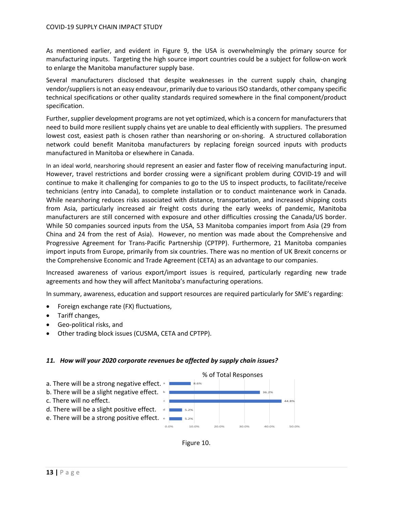As mentioned earlier, and evident in Figure 9, the USA is overwhelmingly the primary source for manufacturing inputs. Targeting the high source import countries could be a subject for follow-on work to enlarge the Manitoba manufacturer supply base.

Several manufacturers disclosed that despite weaknesses in the current supply chain, changing vendor/suppliers is not an easy endeavour, primarily due to various ISO standards, other company specific technical specifications or other quality standards required somewhere in the final component/product specification.

Further, supplier development programs are not yet optimized, which is a concern for manufacturers that need to build more resilient supply chains yet are unable to deal efficiently with suppliers. The presumed lowest cost, easiest path is chosen rather than nearshoring or on-shoring. A structured collaboration network could benefit Manitoba manufacturers by replacing foreign sourced inputs with products manufactured in Manitoba or elsewhere in Canada.

In an ideal world, nearshoring should represent an easier and faster flow of receiving manufacturing input. However, travel restrictions and border crossing were a significant problem during COVID-19 and will continue to make it challenging for companies to go to the US to inspect products, to facilitate/receive technicians (entry into Canada), to complete installation or to conduct maintenance work in Canada. While nearshoring reduces risks associated with distance, transportation, and increased shipping costs from Asia, particularly increased air freight costs during the early weeks of pandemic, Manitoba manufacturers are still concerned with exposure and other difficulties crossing the Canada/US border. While 50 companies sourced inputs from the USA, 53 Manitoba companies import from Asia (29 from China and 24 from the rest of Asia). However, no mention was made about the Comprehensive and Progressive Agreement for Trans-Pacific Partnership (CPTPP). Furthermore, 21 Manitoba companies import inputs from Europe, primarily from six countries. There was no mention of UK Brexit concerns or the Comprehensive Economic and Trade Agreement (CETA) as an advantage to our companies.

Increased awareness of various export/import issues is required, particularly regarding new trade agreements and how they will affect Manitoba's manufacturing operations.

In summary, awareness, education and support resources are required particularly for SME's regarding:

- Foreign exchange rate (FX) fluctuations,
- Tariff changes,
- Geo-political risks, and
- Other trading block issues (CUSMA, CETA and CPTPP).

#### *11. How will your 2020 corporate revenues be affected by supply chain issues?*



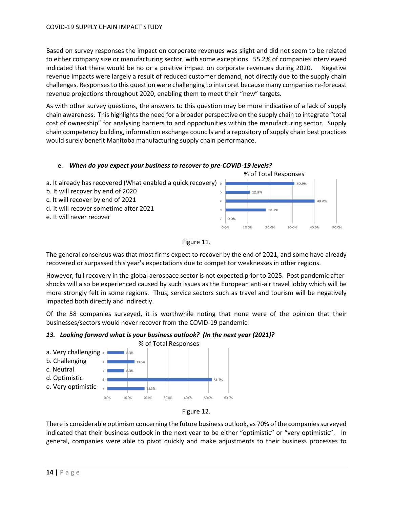Based on survey responses the impact on corporate revenues was slight and did not seem to be related to either company size or manufacturing sector, with some exceptions. 55.2% of companies interviewed indicated that there would be no or a positive impact on corporate revenues during 2020. Negative revenue impacts were largely a result of reduced customer demand, not directly due to the supply chain challenges. Responses to this question were challenging to interpret because many companies re-forecast revenue projections throughout 2020, enabling them to meet their "new" targets.

As with other survey questions, the answers to this question may be more indicative of a lack of supply chain awareness. This highlights the need for a broader perspective on the supply chain to integrate "total cost of ownership" for analysing barriers to and opportunities within the manufacturing sector. Supply chain competency building, information exchange councils and a repository of supply chain best practices would surely benefit Manitoba manufacturing supply chain performance.





The general consensus was that most firms expect to recover by the end of 2021, and some have already recovered or surpassed this year's expectations due to competitor weaknesses in other regions.

However, full recovery in the global aerospace sector is not expected prior to 2025. Post pandemic aftershocks will also be experienced caused by such issues as the European anti-air travel lobby which will be more strongly felt in some regions. Thus, service sectors such as travel and tourism will be negatively impacted both directly and indirectly.

Of the 58 companies surveyed, it is worthwhile noting that none were of the opinion that their businesses/sectors would never recover from the COVID-19 pandemic.







There is considerable optimism concerning the future business outlook, as 70% of the companies surveyed indicated that their business outlook in the next year to be either "optimistic" or "very optimistic". In general, companies were able to pivot quickly and make adjustments to their business processes to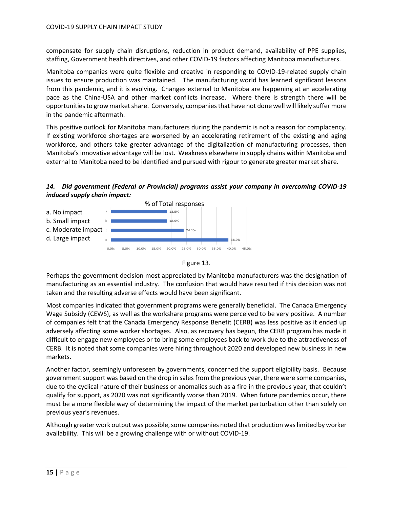compensate for supply chain disruptions, reduction in product demand, availability of PPE supplies, staffing, Government health directives, and other COVID-19 factors affecting Manitoba manufacturers.

Manitoba companies were quite flexible and creative in responding to COVID-19-related supply chain issues to ensure production was maintained. The manufacturing world has learned significant lessons from this pandemic, and it is evolving. Changes external to Manitoba are happening at an accelerating pace as the China-USA and other market conflicts increase. Where there is strength there will be opportunities to grow market share. Conversely, companies that have not done well will likely suffer more in the pandemic aftermath.

This positive outlook for Manitoba manufacturers during the pandemic is not a reason for complacency. If existing workforce shortages are worsened by an accelerating retirement of the existing and aging workforce, and others take greater advantage of the digitalization of manufacturing processes, then Manitoba's innovative advantage will be lost. Weakness elsewhere in supply chains within Manitoba and external to Manitoba need to be identified and pursued with rigour to generate greater market share.

#### *14. Did government (Federal or Provincial) programs assist your company in overcoming COVID-19 induced supply chain impact:*





Perhaps the government decision most appreciated by Manitoba manufacturers was the designation of manufacturing as an essential industry. The confusion that would have resulted if this decision was not taken and the resulting adverse effects would have been significant.

Most companies indicated that government programs were generally beneficial. The Canada Emergency Wage Subsidy (CEWS), as well as the workshare programs were perceived to be very positive. A number of companies felt that the Canada Emergency Response Benefit (CERB) was less positive as it ended up adversely affecting some worker shortages. Also, as recovery has begun, the CERB program has made it difficult to engage new employees or to bring some employees back to work due to the attractiveness of CERB. It is noted that some companies were hiring throughout 2020 and developed new business in new markets.

Another factor, seemingly unforeseen by governments, concerned the support eligibility basis. Because government support was based on the drop in sales from the previous year, there were some companies, due to the cyclical nature of their business or anomalies such as a fire in the previous year, that couldn't qualify for support, as 2020 was not significantly worse than 2019. When future pandemics occur, there must be a more flexible way of determining the impact of the market perturbation other than solely on previous year's revenues.

Although greater work output was possible, some companies noted that production was limited by worker availability. This will be a growing challenge with or without COVID-19.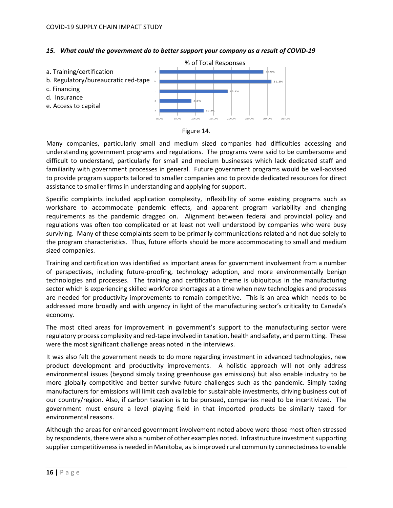#### *15. What could the government do to better support your company as a result of COVID-19*





Many companies, particularly small and medium sized companies had difficulties accessing and understanding government programs and regulations. The programs were said to be cumbersome and difficult to understand, particularly for small and medium businesses which lack dedicated staff and familiarity with government processes in general. Future government programs would be well-advised to provide program supports tailored to smaller companies and to provide dedicated resources for direct assistance to smaller firms in understanding and applying for support.

Specific complaints included application complexity, inflexibility of some existing programs such as workshare to accommodate pandemic effects, and apparent program variability and changing requirements as the pandemic dragged on. Alignment between federal and provincial policy and regulations was often too complicated or at least not well understood by companies who were busy surviving. Many of these complaints seem to be primarily communications related and not due solely to the program characteristics. Thus, future efforts should be more accommodating to small and medium sized companies.

Training and certification was identified as important areas for government involvement from a number of perspectives, including future-proofing, technology adoption, and more environmentally benign technologies and processes. The training and certification theme is ubiquitous in the manufacturing sector which is experiencing skilled workforce shortages at a time when new technologies and processes are needed for productivity improvements to remain competitive. This is an area which needs to be addressed more broadly and with urgency in light of the manufacturing sector's criticality to Canada's economy.

The most cited areas for improvement in government's support to the manufacturing sector were regulatory process complexity and red-tape involved in taxation, health and safety, and permitting. These were the most significant challenge areas noted in the interviews.

It was also felt the government needs to do more regarding investment in advanced technologies, new product development and productivity improvements. A holistic approach will not only address environmental issues (beyond simply taxing greenhouse gas emissions) but also enable industry to be more globally competitive and better survive future challenges such as the pandemic. Simply taxing manufacturers for emissions will limit cash available for sustainable investments, driving business out of our country/region. Also, if carbon taxation is to be pursued, companies need to be incentivized. The government must ensure a level playing field in that imported products be similarly taxed for environmental reasons.

Although the areas for enhanced government involvement noted above were those most often stressed by respondents, there were also a number of other examples noted. Infrastructure investment supporting supplier competitiveness is needed in Manitoba, as isimproved rural community connectedness to enable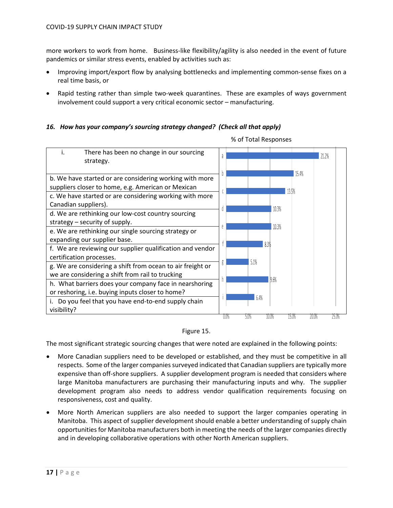more workers to work from home. Business-like flexibility/agility is also needed in the event of future pandemics or similar stress events, enabled by activities such as:

- Improving import/export flow by analysing bottlenecks and implementing common-sense fixes on a real time basis, or
- Rapid testing rather than simple two-week quarantines. These are examples of ways government involvement could support a very critical economic sector – manufacturing.

#### *16. How has your company's sourcing strategy changed? (Check all that apply)*



% of Total Responses



The most significant strategic sourcing changes that were noted are explained in the following points:

- More Canadian suppliers need to be developed or established, and they must be competitive in all respects. Some of the larger companies surveyed indicated that Canadian suppliers are typically more expensive than off-shore suppliers. A supplier development program is needed that considers where large Manitoba manufacturers are purchasing their manufacturing inputs and why. The supplier development program also needs to address vendor qualification requirements focusing on responsiveness, cost and quality.
- More North American suppliers are also needed to support the larger companies operating in Manitoba. This aspect of supplier development should enable a better understanding of supply chain opportunities for Manitoba manufacturers both in meeting the needs of the larger companies directly and in developing collaborative operations with other North American suppliers.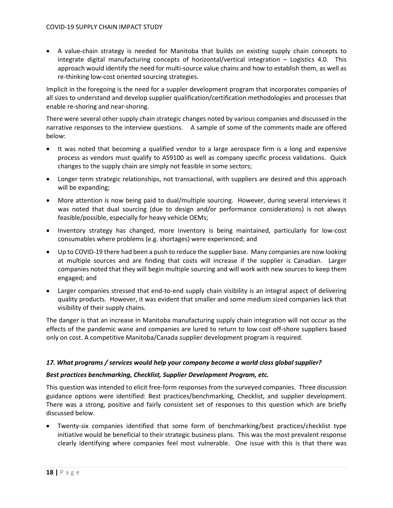• A value-chain strategy is needed for Manitoba that builds on existing supply chain concepts to integrate digital manufacturing concepts of horizontal/vertical integration – Logistics 4.0. This approach would identify the need for multi-source value chains and how to establish them, as well as re-thinking low-cost oriented sourcing strategies.

Implicit in the foregoing is the need for a suppler development program that incorporates companies of all sizes to understand and develop supplier qualification/certification methodologies and processes that enable re-shoring and near-shoring.

There were several other supply chain strategic changes noted by various companies and discussed in the narrative responses to the interview questions. A sample of some of the comments made are offered below:

- It was noted that becoming a qualified vendor to a large aerospace firm is a long and expensive process as vendors must qualify to AS9100 as well as company specific process validations. Quick changes to the supply chain are simply not feasible in some sectors;
- Longer term strategic relationships, not transactional, with suppliers are desired and this approach will be expanding;
- More attention is now being paid to dual/multiple sourcing. However, during several interviews it was noted that dual sourcing (due to design and/or performance considerations) is not always feasible/possible, especially for heavy vehicle OEMs;
- Inventory strategy has changed, more inventory is being maintained, particularly for low-cost consumables where problems (e.g. shortages) were experienced; and
- Up to COVID-19 there had been a push to reduce the supplier base. Many companies are now looking at multiple sources and are finding that costs will increase if the supplier is Canadian. Larger companies noted that they will begin multiple sourcing and will work with new sources to keep them engaged; and
- Larger companies stressed that end-to-end supply chain visibility is an integral aspect of delivering quality products. However, it was evident that smaller and some medium sized companies lack that visibility of their supply chains.

The danger is that an increase in Manitoba manufacturing supply chain integration will not occur as the effects of the pandemic wane and companies are lured to return to low cost off-shore suppliers based only on cost. A competitive Manitoba/Canada supplier development program is required.

#### *17. What programs / services would help your company become a world class global supplier?*

#### *Best practices benchmarking, Checklist, Supplier Development Program, etc.*

This question was intended to elicit free-form responses from the surveyed companies. Three discussion guidance options were identified: Best practices/benchmarking, Checklist, and supplier development. There was a strong, positive and fairly consistent set of responses to this question which are briefly discussed below.

• Twenty-six companies identified that some form of benchmarking/best practices/checklist type initiative would be beneficial to their strategic business plans. This was the most prevalent response clearly identifying where companies feel most vulnerable. One issue with this is that there was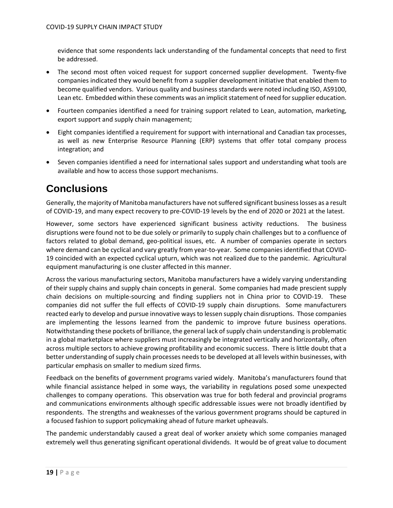evidence that some respondents lack understanding of the fundamental concepts that need to first be addressed.

- The second most often voiced request for support concerned supplier development. Twenty-five companies indicated they would benefit from a supplier development initiative that enabled them to become qualified vendors. Various quality and business standards were noted including ISO, AS9100, Lean etc. Embedded within these comments was an implicit statement of need for supplier education.
- Fourteen companies identified a need for training support related to Lean, automation, marketing, export support and supply chain management;
- Eight companies identified a requirement for support with international and Canadian tax processes, as well as new Enterprise Resource Planning (ERP) systems that offer total company process integration; and
- Seven companies identified a need for international sales support and understanding what tools are available and how to access those support mechanisms.

## <span id="page-28-0"></span>**Conclusions**

Generally, the majority of Manitoba manufacturers have not suffered significant business losses as a result of COVID-19, and many expect recovery to pre-COVID-19 levels by the end of 2020 or 2021 at the latest.

However, some sectors have experienced significant business activity reductions. The business disruptions were found not to be due solely or primarily to supply chain challenges but to a confluence of factors related to global demand, geo-political issues, etc. A number of companies operate in sectors where demand can be cyclical and vary greatly from year-to-year. Some companies identified that COVID-19 coincided with an expected cyclical upturn, which was not realized due to the pandemic. Agricultural equipment manufacturing is one cluster affected in this manner.

Across the various manufacturing sectors, Manitoba manufacturers have a widely varying understanding of their supply chains and supply chain concepts in general. Some companies had made prescient supply chain decisions on multiple-sourcing and finding suppliers not in China prior to COVID-19. These companies did not suffer the full effects of COVID-19 supply chain disruptions. Some manufacturers reacted early to develop and pursue innovative ways to lessen supply chain disruptions. Those companies are implementing the lessons learned from the pandemic to improve future business operations. Notwithstanding these pockets of brilliance, the general lack of supply chain understanding is problematic in a global marketplace where suppliers must increasingly be integrated vertically and horizontally, often across multiple sectors to achieve growing profitability and economic success. There is little doubt that a better understanding of supply chain processes needs to be developed at all levels within businesses, with particular emphasis on smaller to medium sized firms.

Feedback on the benefits of government programs varied widely. Manitoba's manufacturers found that while financial assistance helped in some ways, the variability in regulations posed some unexpected challenges to company operations. This observation was true for both federal and provincial programs and communications environments although specific addressable issues were not broadly identified by respondents. The strengths and weaknesses of the various government programs should be captured in a focused fashion to support policymaking ahead of future market upheavals.

The pandemic understandably caused a great deal of worker anxiety which some companies managed extremely well thus generating significant operational dividends. It would be of great value to document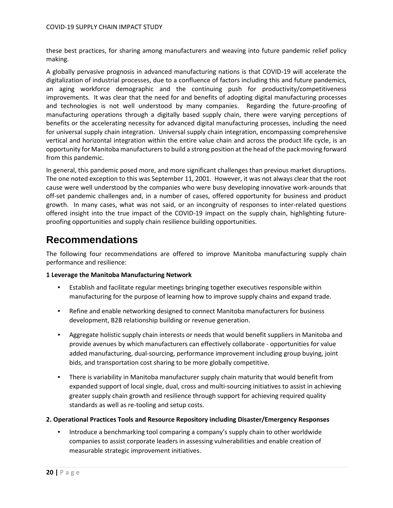these best practices, for sharing among manufacturers and weaving into future pandemic relief policy making.

A globally pervasive prognosis in advanced manufacturing nations is that COVID-19 will accelerate the digitalization of industrial processes, due to a confluence of factors including this and future pandemics, an aging workforce demographic and the continuing push for productivity/competitiveness improvements. It was clear that the need for and benefits of adopting digital manufacturing processes and technologies is not well understood by many companies. Regarding the future-proofing of manufacturing operations through a digitally based supply chain, there were varying perceptions of benefits or the accelerating necessity for advanced digital manufacturing processes, including the need for universal supply chain integration. Universal supply chain integration, encompassing comprehensive vertical and horizontal integration within the entire value chain and across the product life cycle, is an opportunity for Manitoba manufacturers to build a strong position at the head of the pack moving forward from this pandemic.

In general, this pandemic posed more, and more significant challenges than previous market disruptions. The one noted exception to this was September 11, 2001. However, it was not always clear that the root cause were well understood by the companies who were busy developing innovative work-arounds that off-set pandemic challenges and, in a number of cases, offered opportunity for business and product growth. In many cases, what was not said, or an incongruity of responses to inter-related questions offered insight into the true impact of the COVID-19 impact on the supply chain, highlighting futureproofing opportunities and supply chain resilience building opportunities.

### <span id="page-29-0"></span>**Recommendations**

The following four recommendations are offered to improve Manitoba manufacturing supply chain performance and resilience:

#### **1 Leverage the Manitoba Manufacturing Network**

- Establish and facilitate regular meetings bringing together executives responsible within manufacturing for the purpose of learning how to improve supply chains and expand trade.
- Refine and enable networking designed to connect Manitoba manufacturers for business development, B2B relationship building or revenue generation.
- Aggregate holistic supply chain interests or needs that would benefit suppliers in Manitoba and provide avenues by which manufacturers can effectively collaborate - opportunities for value added manufacturing, dual-sourcing, performance improvement including group buying, joint bids, and transportation cost sharing to be more globally competitive.
- There is variability in Manitoba manufacturer supply chain maturity that would benefit from expanded support of local single, dual, cross and multi-sourcing initiatives to assist in achieving greater supply chain growth and resilience through support for achieving required quality standards as well as re-tooling and setup costs.

#### **2. Operational Practices Tools and Resource Repository including Disaster/Emergency Responses**

• Introduce a benchmarking tool comparing a company's supply chain to other worldwide companies to assist corporate leaders in assessing vulnerabilities and enable creation of measurable strategic improvement initiatives.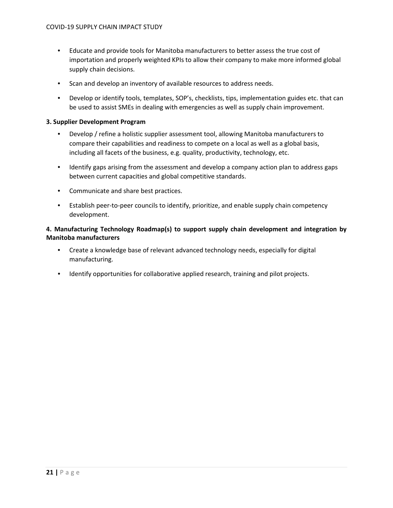- Educate and provide tools for Manitoba manufacturers to better assess the true cost of importation and properly weighted KPIs to allow their company to make more informed global supply chain decisions.
- Scan and develop an inventory of available resources to address needs.
- Develop or identify tools, templates, SOP's, checklists, tips, implementation guides etc. that can be used to assist SMEs in dealing with emergencies as well as supply chain improvement.

#### **3. Supplier Development Program**

- Develop / refine a holistic supplier assessment tool, allowing Manitoba manufacturers to compare their capabilities and readiness to compete on a local as well as a global basis, including all facets of the business, e.g. quality, productivity, technology, etc.
- Identify gaps arising from the assessment and develop a company action plan to address gaps between current capacities and global competitive standards.
- Communicate and share best practices.
- Establish peer-to-peer councils to identify, prioritize, and enable supply chain competency development.

#### **4. Manufacturing Technology Roadmap(s) to support supply chain development and integration by Manitoba manufacturers**

- Create a knowledge base of relevant advanced technology needs, especially for digital manufacturing.
- Identify opportunities for collaborative applied research, training and pilot projects.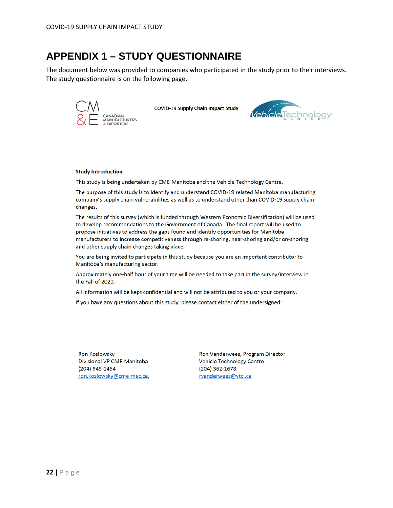### <span id="page-31-0"></span>**APPENDIX 1 – STUDY QUESTIONNAIRE**

The document below was provided to companies who participated in the study prior to their interviews. The study questionnaire is on the following page.



**COVID-19 Supply Chain Impact Study** 



#### **Study Introduction**

This study is being undertaken by CME-Manitoba and the Vehicle Technology Centre.

The purpose of this study is to identify and understand COVID-19 related Manitoba manufacturing company's supply chain vulnerabilities as well as to understand other than COVID-19 supply chain changes.

The results of this survey (which is funded through Western Economic Diversification) will be used to develop recommendations to the Government of Canada. The final report will be used to propose initiatives to address the gaps found and identify opportunities for Manitoba manufacturers to increase competitiveness through re-shoring, near-shoring and/or on-shoring and other supply chain changes taking place.

You are being invited to participate in this study because you are an important contributor to Manitoba's manufacturing sector.

Approximately one-half hour of your time will be needed to take part in the survey/interview in the Fall of 2020.

All information will be kept confidential and will not be attributed to you or your company.

If you have any questions about this study, please contact either of the undersigned:

**Ron Koslowsky** Divisional VP CME-Manitoba (204) 949-1454 ron.koslowsky@cme-mec.ca,

Ron Vanderwees, Program Director Vehicle Technology Centre (204) 362-1678 rvanderwees@vtci.ca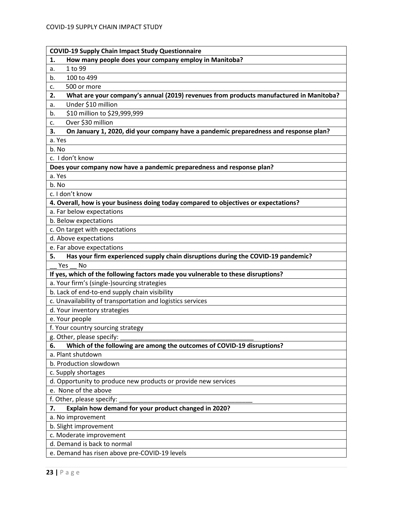| How many people does your company employ in Manitoba?<br>1.                                  |
|----------------------------------------------------------------------------------------------|
| 1 to 99<br>a.                                                                                |
| 100 to 499<br>b.                                                                             |
| 500 or more<br>c.                                                                            |
| What are your company's annual (2019) revenues from products manufactured in Manitoba?<br>2. |
| Under \$10 million<br>а.                                                                     |
| \$10 million to \$29,999,999<br>b.                                                           |
| Over \$30 million<br>c.                                                                      |
| On January 1, 2020, did your company have a pandemic preparedness and response plan?<br>3.   |
| a. Yes                                                                                       |
| b. No                                                                                        |
| c. I don't know                                                                              |
| Does your company now have a pandemic preparedness and response plan?                        |
| a. Yes                                                                                       |
| b. No                                                                                        |
| c. I don't know                                                                              |
| 4. Overall, how is your business doing today compared to objectives or expectations?         |
| a. Far below expectations                                                                    |
| b. Below expectations                                                                        |
| c. On target with expectations                                                               |
| d. Above expectations                                                                        |
| e. Far above expectations                                                                    |
| Has your firm experienced supply chain disruptions during the COVID-19 pandemic?<br>5.       |
| Yes<br><b>No</b>                                                                             |
| If yes, which of the following factors made you vulnerable to these disruptions?             |
|                                                                                              |
| a. Your firm's (single-)sourcing strategies                                                  |
| b. Lack of end-to-end supply chain visibility                                                |
| c. Unavailability of transportation and logistics services                                   |
| d. Your inventory strategies                                                                 |
| e. Your people                                                                               |
| f. Your country sourcing strategy                                                            |
| g. Other, please specify:                                                                    |
| Which of the following are among the outcomes of COVID-19 disruptions?<br>6.                 |
| a. Plant shutdown                                                                            |
| b. Production slowdown                                                                       |
| c. Supply shortages                                                                          |
| d. Opportunity to produce new products or provide new services                               |
| e. None of the above                                                                         |
| f. Other, please specify:                                                                    |
| Explain how demand for your product changed in 2020?<br>7.                                   |
| a. No improvement                                                                            |
| b. Slight improvement                                                                        |
| c. Moderate improvement                                                                      |
| d. Demand is back to normal                                                                  |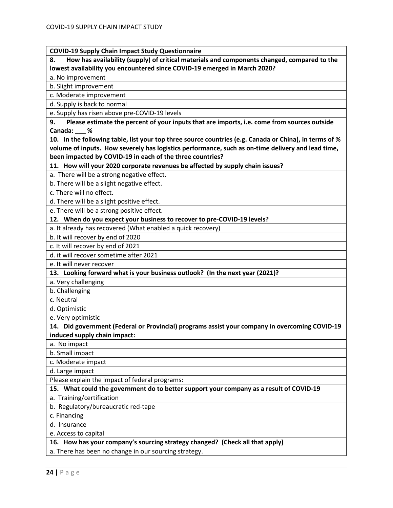#### **COVID-19 Supply Chain Impact Study Questionnaire**

**8. How has availability (supply) of critical materials and components changed, compared to the lowest availability you encountered since COVID-19 emerged in March 2020?**

a. No improvement

b. Slight improvement

c. Moderate improvement

d. Supply is back to normal

e. Supply has risen above pre-COVID-19 levels

**9. Please estimate the percent of your inputs that are imports, i.e. come from sources outside Canada: \_\_\_ %**

**10. In the following table, list your top three source countries (e.g. Canada or China), in terms of % volume of inputs. How severely has logistics performance, such as on-time delivery and lead time, been impacted by COVID-19 in each of the three countries?**

**11. How will your 2020 corporate revenues be affected by supply chain issues?**

a. There will be a strong negative effect.

b. There will be a slight negative effect.

c. There will no effect.

d. There will be a slight positive effect.

e. There will be a strong positive effect.

**12. When do you expect your business to recover to pre-COVID-19 levels?**

a. It already has recovered (What enabled a quick recovery)

b. It will recover by end of 2020

c. It will recover by end of 2021

d. it will recover sometime after 2021

e. It will never recover

**13. Looking forward what is your business outlook? (In the next year (2021)?**

a. Very challenging

b. Challenging

c. Neutral

d. Optimistic

e. Very optimistic

**14. Did government (Federal or Provincial) programs assist your company in overcoming COVID-19 induced supply chain impact:**

a. No impact

b. Small impact

c. Moderate impact

d. Large impact

Please explain the impact of federal programs:

**15. What could the government do to better support your company as a result of COVID-19**

a. Training/certification

b. Regulatory/bureaucratic red-tape

c. Financing

d. Insurance

e. Access to capital

**16. How has your company's sourcing strategy changed? (Check all that apply)**

a. There has been no change in our sourcing strategy.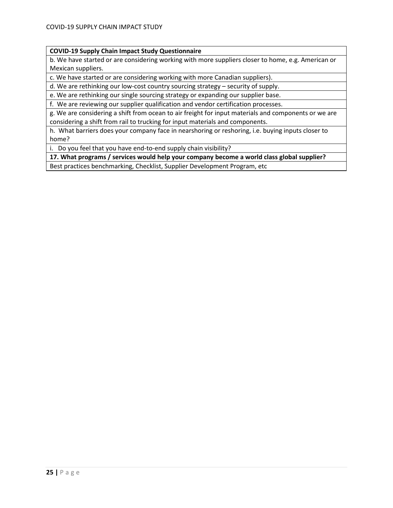#### **COVID-19 Supply Chain Impact Study Questionnaire**

b. We have started or are considering working with more suppliers closer to home, e.g. American or Mexican suppliers.

c. We have started or are considering working with more Canadian suppliers).

d. We are rethinking our low-cost country sourcing strategy – security of supply.

e. We are rethinking our single sourcing strategy or expanding our supplier base.

f. We are reviewing our supplier qualification and vendor certification processes.

g. We are considering a shift from ocean to air freight for input materials and components or we are considering a shift from rail to trucking for input materials and components.

h. What barriers does your company face in nearshoring or reshoring, i.e. buying inputs closer to home?

i. Do you feel that you have end-to-end supply chain visibility?

**17. What programs / services would help your company become a world class global supplier?**

Best practices benchmarking, Checklist, Supplier Development Program, etc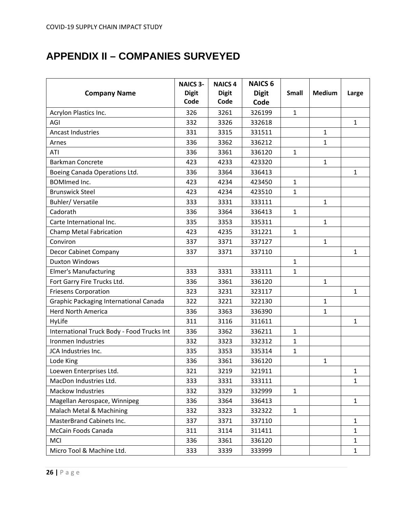# <span id="page-35-0"></span>**APPENDIX II – COMPANIES SURVEYED**

|                                            | <b>NAICS 3-</b> | <b>NAICS 4</b> | <b>NAICS 6</b> |              |               |              |
|--------------------------------------------|-----------------|----------------|----------------|--------------|---------------|--------------|
| <b>Company Name</b>                        | <b>Digit</b>    | <b>Digit</b>   | <b>Digit</b>   | <b>Small</b> | <b>Medium</b> | Large        |
|                                            | Code            | Code           | Code           |              |               |              |
| Acrylon Plastics Inc.                      | 326             | 3261           | 326199         | $\mathbf{1}$ |               |              |
| AGI                                        | 332             | 3326           | 332618         |              |               | $\mathbf{1}$ |
| <b>Ancast Industries</b>                   | 331             | 3315           | 331511         |              | $\mathbf{1}$  |              |
| Arnes                                      | 336             | 3362           | 336212         |              | $\mathbf{1}$  |              |
| ATI                                        | 336             | 3361           | 336120         | 1            |               |              |
| <b>Barkman Concrete</b>                    | 423             | 4233           | 423320         |              | $\mathbf{1}$  |              |
| Boeing Canada Operations Ltd.              | 336             | 3364           | 336413         |              |               | $\mathbf{1}$ |
| <b>BOMImed Inc.</b>                        | 423             | 4234           | 423450         | $\mathbf{1}$ |               |              |
| <b>Brunswick Steel</b>                     | 423             | 4234           | 423510         | $\mathbf{1}$ |               |              |
| Buhler/Versatile                           | 333             | 3331           | 333111         |              | $\mathbf{1}$  |              |
| Cadorath                                   | 336             | 3364           | 336413         | $\mathbf{1}$ |               |              |
| Carte International Inc.                   | 335             | 3353           | 335311         |              | $\mathbf{1}$  |              |
| Champ Metal Fabrication                    | 423             | 4235           | 331221         | $\mathbf{1}$ |               |              |
| Conviron                                   | 337             | 3371           | 337127         |              | $\mathbf{1}$  |              |
| Decor Cabinet Company                      | 337             | 3371           | 337110         |              |               | $\mathbf{1}$ |
| <b>Duxton Windows</b>                      |                 |                |                | $\mathbf{1}$ |               |              |
| <b>Elmer's Manufacturing</b>               | 333             | 3331           | 333111         | 1            |               |              |
| Fort Garry Fire Trucks Ltd.                | 336             | 3361           | 336120         |              | $\mathbf{1}$  |              |
| <b>Friesens Corporation</b>                | 323             | 3231           | 323117         |              |               | $\mathbf{1}$ |
| Graphic Packaging International Canada     | 322             | 3221           | 322130         |              | $\mathbf{1}$  |              |
| <b>Herd North America</b>                  | 336             | 3363           | 336390         |              | 1             |              |
| HyLife                                     | 311             | 3116           | 311611         |              |               | $\mathbf{1}$ |
| International Truck Body - Food Trucks Int | 336             | 3362           | 336211         | $\mathbf{1}$ |               |              |
| Ironmen Industries                         | 332             | 3323           | 332312         | 1            |               |              |
| JCA Industries Inc.                        | 335             | 3353           | 335314         | $\mathbf{1}$ |               |              |
| Lode King                                  | 336             | 3361           | 336120         |              | $\mathbf{1}$  |              |
| Loewen Enterprises Ltd.                    | 321             | 3219           | 321911         |              |               | $\mathbf{1}$ |
| MacDon Industries Ltd.                     | 333             | 3331           | 333111         |              |               | $\mathbf{1}$ |
| <b>Mackow Industries</b>                   | 332             | 3329           | 332999         | $\mathbf{1}$ |               |              |
| Magellan Aerospace, Winnipeg               | 336             | 3364           | 336413         |              |               | $\mathbf{1}$ |
| Malach Metal & Machining                   | 332             | 3323           | 332322         | $\mathbf{1}$ |               |              |
| <b>MasterBrand Cabinets Inc.</b>           | 337             | 3371           | 337110         |              |               | $\mathbf{1}$ |
| McCain Foods Canada                        | 311             | 3114           | 311411         |              |               | $\mathbf{1}$ |
| <b>MCI</b>                                 | 336             | 3361           | 336120         |              |               | $\mathbf{1}$ |
| Micro Tool & Machine Ltd.                  | 333             | 3339           | 333999         |              |               | $\mathbf{1}$ |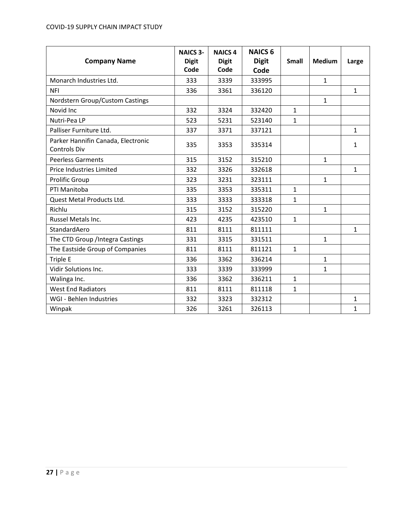#### COVID-19 SUPPLY CHAIN IMPACT STUDY

| <b>Company Name</b>                                       | <b>NAICS 3-</b><br><b>Digit</b><br>Code | <b>NAICS 4</b><br><b>Digit</b><br>Code | <b>NAICS 6</b><br><b>Digit</b><br>Code | <b>Small</b> | <b>Medium</b> | Large        |
|-----------------------------------------------------------|-----------------------------------------|----------------------------------------|----------------------------------------|--------------|---------------|--------------|
| Monarch Industries Ltd.                                   | 333                                     | 3339                                   | 333995                                 |              | $\mathbf{1}$  |              |
| <b>NFI</b>                                                | 336                                     | 3361                                   | 336120                                 |              |               | $\mathbf{1}$ |
| Nordstern Group/Custom Castings                           |                                         |                                        |                                        |              | $\mathbf{1}$  |              |
| Novid Inc                                                 | 332                                     | 3324                                   | 332420                                 | $\mathbf{1}$ |               |              |
| Nutri-Pea LP                                              | 523                                     | 5231                                   | 523140                                 | $\mathbf{1}$ |               |              |
| Palliser Furniture Ltd.                                   | 337                                     | 3371                                   | 337121                                 |              |               | $\mathbf{1}$ |
| Parker Hannifin Canada, Electronic<br><b>Controls Div</b> | 335                                     | 3353                                   | 335314                                 |              |               | $\mathbf{1}$ |
| <b>Peerless Garments</b>                                  | 315                                     | 3152                                   | 315210                                 |              | $\mathbf{1}$  |              |
| Price Industries Limited                                  | 332                                     | 3326                                   | 332618                                 |              |               | $\mathbf{1}$ |
| <b>Prolific Group</b>                                     | 323                                     | 3231                                   | 323111                                 |              | $\mathbf{1}$  |              |
| PTI Manitoba                                              | 335                                     | 3353                                   | 335311                                 | $\mathbf{1}$ |               |              |
| Quest Metal Products Ltd.                                 | 333                                     | 3333                                   | 333318                                 | $\mathbf{1}$ |               |              |
| Richlu                                                    | 315                                     | 3152                                   | 315220                                 |              | $\mathbf{1}$  |              |
| Russel Metals Inc.                                        | 423                                     | 4235                                   | 423510                                 | $\mathbf 1$  |               |              |
| StandardAero                                              | 811                                     | 8111                                   | 811111                                 |              |               | $\mathbf{1}$ |
| The CTD Group / Integra Castings                          | 331                                     | 3315                                   | 331511                                 |              | $\mathbf{1}$  |              |
| The Eastside Group of Companies                           | 811                                     | 8111                                   | 811121                                 | $\mathbf{1}$ |               |              |
| Triple E                                                  | 336                                     | 3362                                   | 336214                                 |              | $\mathbf{1}$  |              |
| <b>Vidir Solutions Inc.</b>                               | 333                                     | 3339                                   | 333999                                 |              | $\mathbf{1}$  |              |
| Walinga Inc.                                              | 336                                     | 3362                                   | 336211                                 | $\mathbf{1}$ |               |              |
| <b>West End Radiators</b>                                 | 811                                     | 8111                                   | 811118                                 | $\mathbf{1}$ |               |              |
| WGI - Behlen Industries                                   | 332                                     | 3323                                   | 332312                                 |              |               | $\mathbf{1}$ |
| Winpak                                                    | 326                                     | 3261                                   | 326113                                 |              |               | $\mathbf{1}$ |